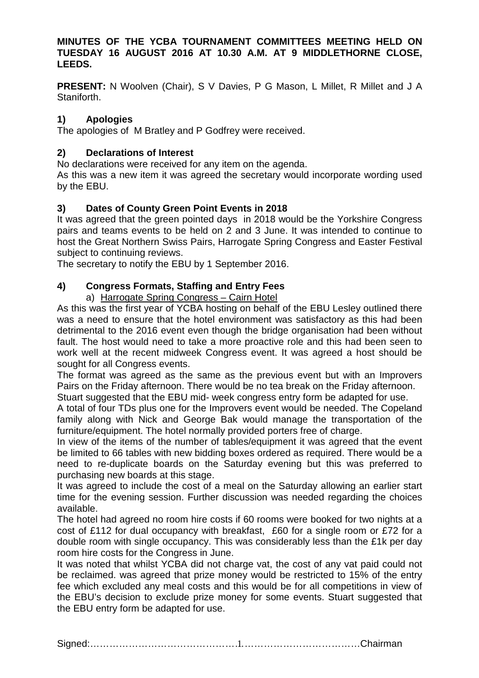#### **MINUTES OF THE YCBA TOURNAMENT COMMITTEES MEETING HELD ON TUESDAY 16 AUGUST 2016 AT 10.30 A.M. AT 9 MIDDLETHORNE CLOSE, LEEDS.**

**PRESENT:** N Woolven (Chair), S V Davies, P G Mason, L Millet, R Millet and J A Staniforth.

# **1) Apologies**

The apologies of M Bratley and P Godfrey were received.

#### **2) Declarations of Interest**

No declarations were received for any item on the agenda.

As this was a new item it was agreed the secretary would incorporate wording used by the EBU.

# **3) Dates of County Green Point Events in 2018**

It was agreed that the green pointed days in 2018 would be the Yorkshire Congress pairs and teams events to be held on 2 and 3 June. It was intended to continue to host the Great Northern Swiss Pairs, Harrogate Spring Congress and Easter Festival subject to continuing reviews.

The secretary to notify the EBU by 1 September 2016.

# **4) Congress Formats, Staffing and Entry Fees**

#### a) Harrogate Spring Congress – Cairn Hotel

As this was the first year of YCBA hosting on behalf of the EBU Lesley outlined there was a need to ensure that the hotel environment was satisfactory as this had been detrimental to the 2016 event even though the bridge organisation had been without fault. The host would need to take a more proactive role and this had been seen to work well at the recent midweek Congress event. It was agreed a host should be sought for all Congress events.

The format was agreed as the same as the previous event but with an Improvers Pairs on the Friday afternoon. There would be no tea break on the Friday afternoon.

Stuart suggested that the EBU mid- week congress entry form be adapted for use.

A total of four TDs plus one for the Improvers event would be needed. The Copeland family along with Nick and George Bak would manage the transportation of the furniture/equipment. The hotel normally provided porters free of charge.

In view of the items of the number of tables/equipment it was agreed that the event be limited to 66 tables with new bidding boxes ordered as required. There would be a need to re-duplicate boards on the Saturday evening but this was preferred to purchasing new boards at this stage.

It was agreed to include the cost of a meal on the Saturday allowing an earlier start time for the evening session. Further discussion was needed regarding the choices available.

The hotel had agreed no room hire costs if 60 rooms were booked for two nights at a cost of £112 for dual occupancy with breakfast, £60 for a single room or £72 for a double room with single occupancy. This was considerably less than the £1k per day room hire costs for the Congress in June.

It was noted that whilst YCBA did not charge vat, the cost of any vat paid could not be reclaimed. was agreed that prize money would be restricted to 15% of the entry fee which excluded any meal costs and this would be for all competitions in view of the EBU's decision to exclude prize money for some events. Stuart suggested that the EBU entry form be adapted for use.

Signed:…………………………………………………………………………Chairman 1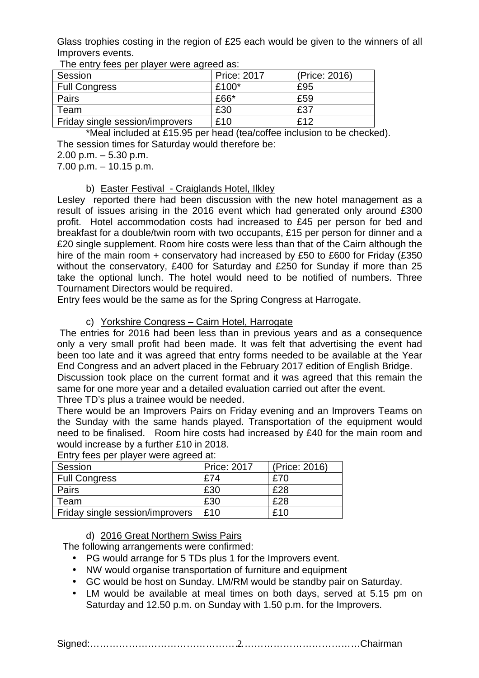Glass trophies costing in the region of £25 each would be given to the winners of all Improvers events.

| The only 1000 por player wore agroup act |                    |               |
|------------------------------------------|--------------------|---------------|
| Session                                  | <b>Price: 2017</b> | (Price: 2016) |
| <b>Full Congress</b>                     | £100*              | £95           |
| Pairs                                    | $£66*$             | £59           |
| Team                                     | £30                | £37           |
| Friday single session/improvers          | £10                | f12           |

The entry fees per player were agreed as:

\*Meal included at £15.95 per head (tea/coffee inclusion to be checked). The session times for Saturday would therefore be:

2.00 p.m. – 5.30 p.m.

7.00 p.m. – 10.15 p.m.

#### b) Easter Festival - Craiglands Hotel, Ilkley

Lesley reported there had been discussion with the new hotel management as a result of issues arising in the 2016 event which had generated only around £300 profit. Hotel accommodation costs had increased to £45 per person for bed and breakfast for a double/twin room with two occupants, £15 per person for dinner and a £20 single supplement. Room hire costs were less than that of the Cairn although the hire of the main room + conservatory had increased by £50 to £600 for Friday (£350 without the conservatory, £400 for Saturday and £250 for Sunday if more than 25 take the optional lunch. The hotel would need to be notified of numbers. Three Tournament Directors would be required.

Entry fees would be the same as for the Spring Congress at Harrogate.

#### c) Yorkshire Congress – Cairn Hotel, Harrogate

 The entries for 2016 had been less than in previous years and as a consequence only a very small profit had been made. It was felt that advertising the event had been too late and it was agreed that entry forms needed to be available at the Year End Congress and an advert placed in the February 2017 edition of English Bridge.

Discussion took place on the current format and it was agreed that this remain the same for one more year and a detailed evaluation carried out after the event.

Three TD's plus a trainee would be needed.

There would be an Improvers Pairs on Friday evening and an Improvers Teams on the Sunday with the same hands played. Transportation of the equipment would need to be finalised. Room hire costs had increased by £40 for the main room and would increase by a further £10 in 2018.

| $1800$ por pix $101$ is $1000$ x grow at the set of $1000$ |                    |               |  |
|------------------------------------------------------------|--------------------|---------------|--|
| Session                                                    | <b>Price: 2017</b> | (Price: 2016) |  |
| <b>Full Congress</b>                                       | £74                | £70           |  |
| Pairs                                                      | £30                | £28           |  |
| Team                                                       | £30                | £28           |  |
| Friday single session/improvers                            | £10                | £10           |  |

Entry fees per player were agreed at:

d) 2016 Great Northern Swiss Pairs

The following arrangements were confirmed:

- PG would arrange for 5 TDs plus 1 for the Improvers event.
- NW would organise transportation of furniture and equipment
- GC would be host on Sunday. LM/RM would be standby pair on Saturday.
- LM would be available at meal times on both days, served at 5.15 pm on Saturday and 12.50 p.m. on Sunday with 1.50 p.m. for the Improvers.

Signed:…………………………………………………………………………Chairman 2